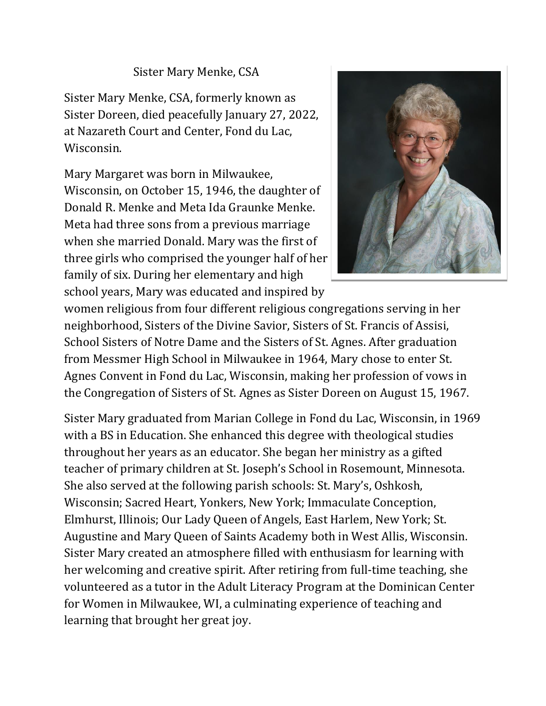## Sister Mary Menke, CSA

Sister Mary Menke, CSA, formerly known as Sister Doreen, died peacefully January 27, 2022, at Nazareth Court and Center, Fond du Lac, Wisconsin.

Mary Margaret was born in Milwaukee, Wisconsin, on October 15, 1946, the daughter of Donald R. Menke and Meta Ida Graunke Menke. Meta had three sons from a previous marriage when she married Donald. Mary was the first of three girls who comprised the younger half of her family of six. During her elementary and high school years, Mary was educated and inspired by



women religious from four different religious congregations serving in her neighborhood, Sisters of the Divine Savior, Sisters of St. Francis of Assisi, School Sisters of Notre Dame and the Sisters of St. Agnes. After graduation from Messmer High School in Milwaukee in 1964, Mary chose to enter St. Agnes Convent in Fond du Lac, Wisconsin, making her profession of vows in the Congregation of Sisters of St. Agnes as Sister Doreen on August 15, 1967.

Sister Mary graduated from Marian College in Fond du Lac, Wisconsin, in 1969 with a BS in Education. She enhanced this degree with theological studies throughout her years as an educator. She began her ministry as a gifted teacher of primary children at St. Joseph's School in Rosemount, Minnesota. She also served at the following parish schools: St. Mary's, Oshkosh, Wisconsin; Sacred Heart, Yonkers, New York; Immaculate Conception, Elmhurst, Illinois; Our Lady Queen of Angels, East Harlem, New York; St. Augustine and Mary Queen of Saints Academy both in West Allis, Wisconsin. Sister Mary created an atmosphere filled with enthusiasm for learning with her welcoming and creative spirit. After retiring from full-time teaching, she volunteered as a tutor in the Adult Literacy Program at the Dominican Center for Women in Milwaukee, WI, a culminating experience of teaching and learning that brought her great joy.